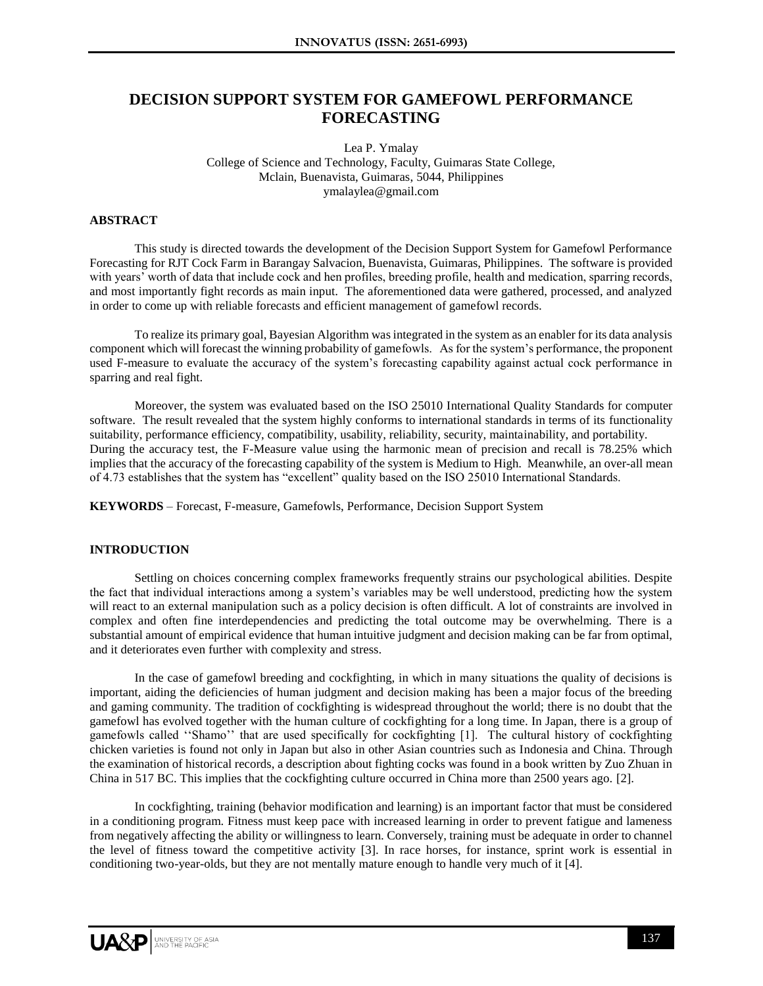# **DECISION SUPPORT SYSTEM FOR GAMEFOWL PERFORMANCE FORECASTING**

Lea P. Ymalay College of Science and Technology, Faculty, Guimaras State College, Mclain, Buenavista, Guimaras, 5044, Philippines ymalaylea@gmail.com

## **ABSTRACT**

This study is directed towards the development of the Decision Support System for Gamefowl Performance Forecasting for RJT Cock Farm in Barangay Salvacion, Buenavista, Guimaras, Philippines. The software is provided with years' worth of data that include cock and hen profiles, breeding profile, health and medication, sparring records, and most importantly fight records as main input. The aforementioned data were gathered, processed, and analyzed in order to come up with reliable forecasts and efficient management of gamefowl records.

To realize its primary goal, Bayesian Algorithm was integrated in the system as an enabler for its data analysis component which will forecast the winning probability of gamefowls. As for the system's performance, the proponent used F-measure to evaluate the accuracy of the system's forecasting capability against actual cock performance in sparring and real fight.

Moreover, the system was evaluated based on the ISO 25010 International Quality Standards for computer software. The result revealed that the system highly conforms to international standards in terms of its functionality suitability, performance efficiency, compatibility, usability, reliability, security, maintainability, and portability. During the accuracy test, the F-Measure value using the harmonic mean of precision and recall is 78.25% which implies that the accuracy of the forecasting capability of the system is Medium to High. Meanwhile, an over-all mean of 4.73 establishes that the system has "excellent" quality based on the ISO 25010 International Standards.

**KEYWORDS** – Forecast, F-measure, Gamefowls, Performance, Decision Support System

#### **INTRODUCTION**

Settling on choices concerning complex frameworks frequently strains our psychological abilities. Despite the fact that individual interactions among a system's variables may be well understood, predicting how the system will react to an external manipulation such as a policy decision is often difficult. A lot of constraints are involved in complex and often fine interdependencies and predicting the total outcome may be overwhelming. There is a substantial amount of empirical evidence that human intuitive judgment and decision making can be far from optimal, and it deteriorates even further with complexity and stress.

In the case of gamefowl breeding and cockfighting, in which in many situations the quality of decisions is important, aiding the deficiencies of human judgment and decision making has been a major focus of the breeding and gaming community. The tradition of cockfighting is widespread throughout the world; there is no doubt that the gamefowl has evolved together with the human culture of cockfighting for a long time. In Japan, there is a group of gamefowls called ''Shamo'' that are used specifically for cockfighting [1]. The cultural history of cockfighting chicken varieties is found not only in Japan but also in other Asian countries such as Indonesia and China. Through the examination of historical records, a description about fighting cocks was found in a book written by Zuo Zhuan in China in 517 BC. This implies that the cockfighting culture occurred in China more than 2500 years ago. [2].

In cockfighting, training (behavior modification and learning) is an important factor that must be considered in a conditioning program. Fitness must keep pace with increased learning in order to prevent fatigue and lameness from negatively affecting the ability or willingness to learn. Conversely, training must be adequate in order to channel the level of fitness toward the competitive activity [3]. In race horses, for instance, sprint work is essential in conditioning two-year-olds, but they are not mentally mature enough to handle very much of it [4].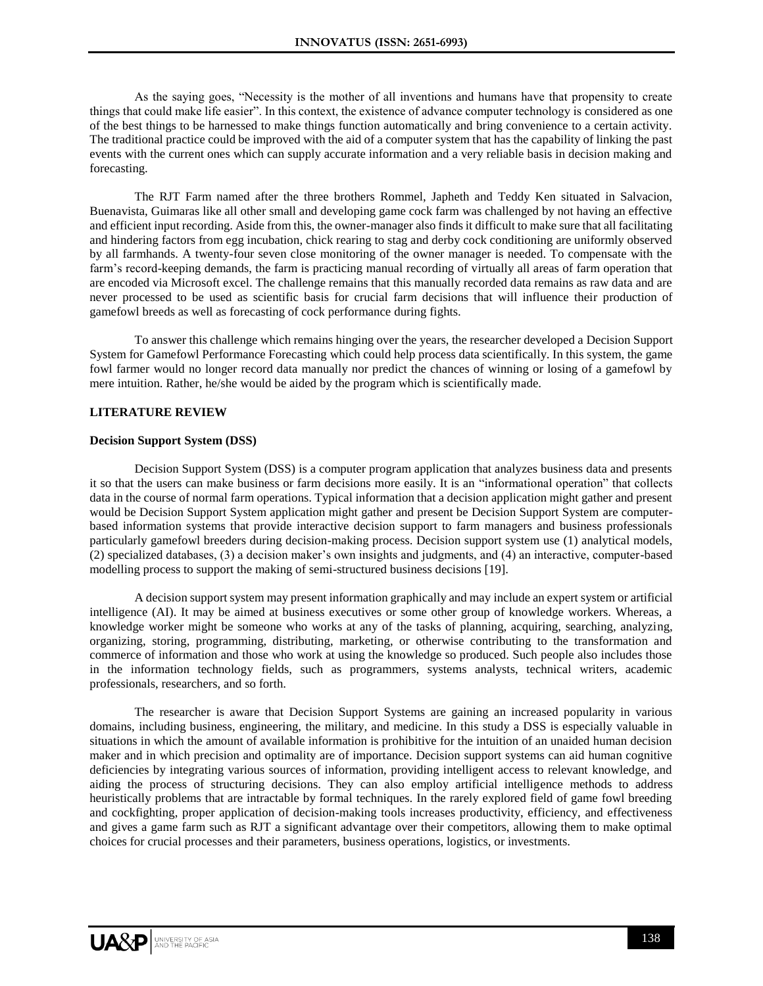As the saying goes, "Necessity is the mother of all inventions and humans have that propensity to create things that could make life easier". In this context, the existence of advance computer technology is considered as one of the best things to be harnessed to make things function automatically and bring convenience to a certain activity. The traditional practice could be improved with the aid of a computer system that has the capability of linking the past events with the current ones which can supply accurate information and a very reliable basis in decision making and forecasting.

The RJT Farm named after the three brothers Rommel, Japheth and Teddy Ken situated in Salvacion, Buenavista, Guimaras like all other small and developing game cock farm was challenged by not having an effective and efficient input recording. Aside from this, the owner-manager also finds it difficult to make sure that all facilitating and hindering factors from egg incubation, chick rearing to stag and derby cock conditioning are uniformly observed by all farmhands. A twenty-four seven close monitoring of the owner manager is needed. To compensate with the farm's record-keeping demands, the farm is practicing manual recording of virtually all areas of farm operation that are encoded via Microsoft excel. The challenge remains that this manually recorded data remains as raw data and are never processed to be used as scientific basis for crucial farm decisions that will influence their production of gamefowl breeds as well as forecasting of cock performance during fights.

To answer this challenge which remains hinging over the years, the researcher developed a Decision Support System for Gamefowl Performance Forecasting which could help process data scientifically. In this system, the game fowl farmer would no longer record data manually nor predict the chances of winning or losing of a gamefowl by mere intuition. Rather, he/she would be aided by the program which is scientifically made.

## **LITERATURE REVIEW**

#### **Decision Support System (DSS)**

Decision Support System (DSS) is a computer program application that analyzes business data and presents it so that the users can make business or farm decisions more easily. It is an "informational operation" that collects data in the course of normal farm operations. Typical information that a decision application might gather and present would be Decision Support System application might gather and present be Decision Support System are computerbased information systems that provide interactive decision support to farm managers and business professionals particularly gamefowl breeders during decision-making process. Decision support system use (1) analytical models, (2) specialized databases, (3) a decision maker's own insights and judgments, and (4) an interactive, computer-based modelling process to support the making of semi-structured business decisions [19].

A decision support system may present information graphically and may include an expert system or artificial intelligence (AI). It may be aimed at business executives or some other group of knowledge workers. Whereas, a knowledge worker might be someone who works at any of the tasks of planning, acquiring, searching, analyzing, organizing, storing, programming, distributing, marketing, or otherwise contributing to the transformation and commerce of information and those who work at using the knowledge so produced. Such people also includes those in the information technology fields, such as programmers, systems analysts, technical writers, academic professionals, researchers, and so forth.

The researcher is aware that Decision Support Systems are gaining an increased popularity in various domains, including business, engineering, the military, and medicine. In this study a DSS is especially valuable in situations in which the amount of available information is prohibitive for the intuition of an unaided human decision maker and in which precision and optimality are of importance. Decision support systems can aid human cognitive deficiencies by integrating various sources of information, providing intelligent access to relevant knowledge, and aiding the process of structuring decisions. They can also employ artificial intelligence methods to address heuristically problems that are intractable by formal techniques. In the rarely explored field of game fowl breeding and cockfighting, proper application of decision-making tools increases productivity, efficiency, and effectiveness and gives a game farm such as RJT a significant advantage over their competitors, allowing them to make optimal choices for crucial processes and their parameters, business operations, logistics, or investments.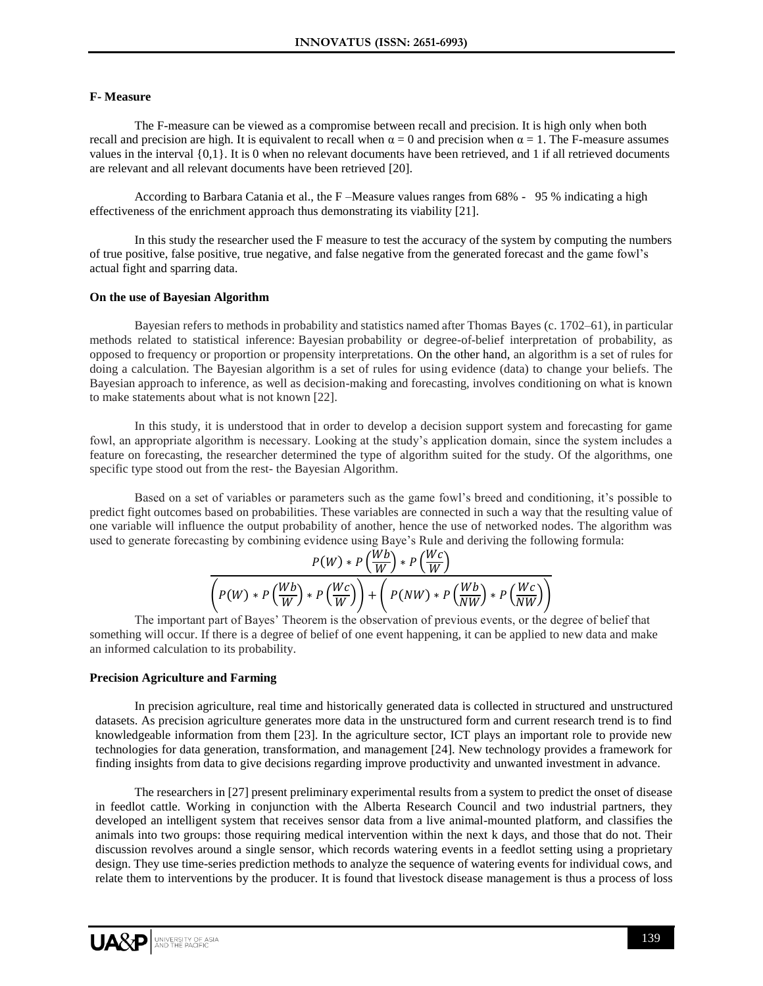## **F- Measure**

The F-measure can be viewed as a compromise between recall and precision. It is high only when both recall and precision are high. It is equivalent to recall when  $\alpha = 0$  and precision when  $\alpha = 1$ . The F-measure assumes values in the interval {0,1}. It is 0 when no relevant documents have been retrieved, and 1 if all retrieved documents are relevant and all relevant documents have been retrieved [20].

According to Barbara Catania et al., the F –Measure values ranges from 68% - 95 % indicating a high effectiveness of the enrichment approach thus demonstrating its viability [21].

In this study the researcher used the F measure to test the accuracy of the system by computing the numbers of true positive, false positive, true negative, and false negative from the generated forecast and the game fowl's actual fight and sparring data.

#### **On the use of Bayesian Algorithm**

Bayesian refers to methods in probability and statistics named after Thomas Bayes (c. 1702–61), in particular methods related to statistical inference: Bayesian probability or degree-of-belief interpretation of probability, as opposed to frequency or proportion or propensity interpretations. On the other hand, an algorithm is a set of rules for doing a calculation. The Bayesian algorithm is a set of rules for using evidence (data) to change your beliefs. The Bayesian approach to inference, as well as decision-making and forecasting, involves conditioning on what is known to make statements about what is not known [22].

In this study, it is understood that in order to develop a decision support system and forecasting for game fowl, an appropriate algorithm is necessary. Looking at the study's application domain, since the system includes a feature on forecasting, the researcher determined the type of algorithm suited for the study. Of the algorithms, one specific type stood out from the rest- the Bayesian Algorithm.

Based on a set of variables or parameters such as the game fowl's breed and conditioning, it's possible to predict fight outcomes based on probabilities. These variables are connected in such a way that the resulting value of one variable will influence the output probability of another, hence the use of networked nodes. The algorithm was used to generate forecasting by combining evidence using Baye's Rule and deriving the following formula:

$$
\frac{P(W) * P\left(\frac{Wb}{W}\right) * P\left(\frac{Wc}{W}\right)}{\left(P(W) * P\left(\frac{Wb}{W}\right) * P\left(\frac{Wc}{W}\right)\right) + \left(P(WW) * P\left(\frac{Wb}{NW}\right) * P\left(\frac{Wc}{NW}\right)\right)}
$$

The important part of Bayes' Theorem is the observation of previous events, or the degree of belief that something will occur. If there is a degree of belief of one event happening, it can be applied to new data and make an informed calculation to its probability.

## **Precision Agriculture and Farming**

In precision agriculture, real time and historically generated data is collected in structured and unstructured datasets. As precision agriculture generates more data in the unstructured form and current research trend is to find knowledgeable information from them [23]. In the agriculture sector, ICT plays an important role to provide new technologies for data generation, transformation, and management [24]. New technology provides a framework for finding insights from data to give decisions regarding improve productivity and unwanted investment in advance.

The researchers in [27] present preliminary experimental results from a system to predict the onset of disease in feedlot cattle. Working in conjunction with the Alberta Research Council and two industrial partners, they developed an intelligent system that receives sensor data from a live animal-mounted platform, and classifies the animals into two groups: those requiring medical intervention within the next k days, and those that do not. Their discussion revolves around a single sensor, which records watering events in a feedlot setting using a proprietary design. They use time-series prediction methods to analyze the sequence of watering events for individual cows, and relate them to interventions by the producer. It is found that livestock disease management is thus a process of loss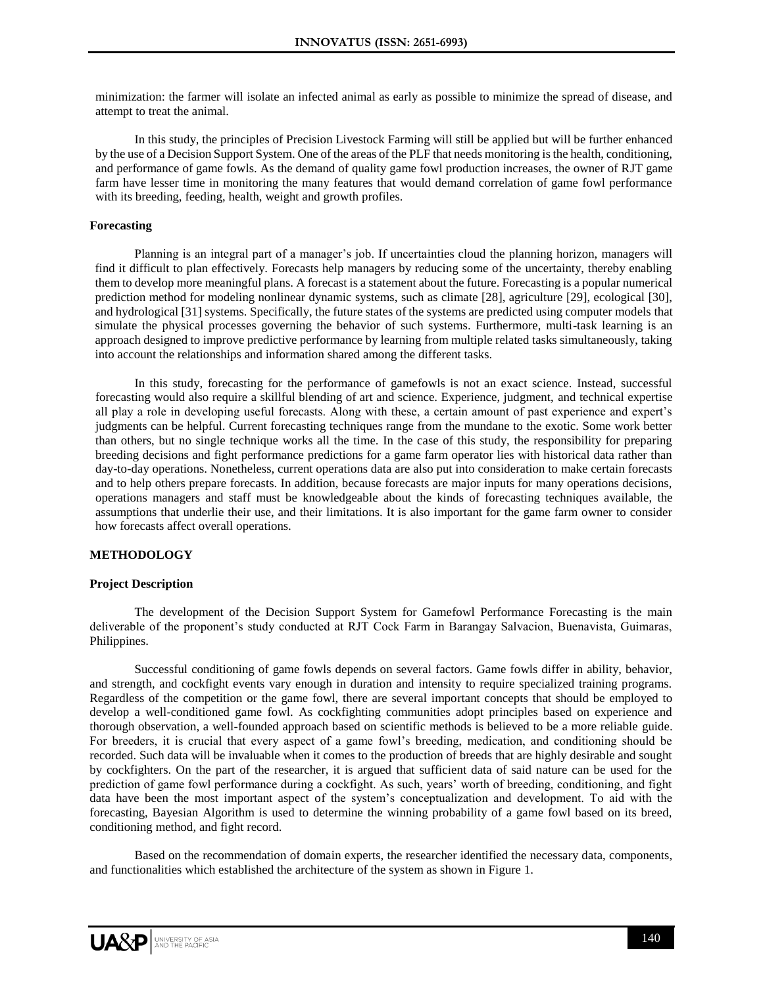minimization: the farmer will isolate an infected animal as early as possible to minimize the spread of disease, and attempt to treat the animal.

In this study, the principles of Precision Livestock Farming will still be applied but will be further enhanced by the use of a Decision Support System. One of the areas of the PLF that needs monitoring is the health, conditioning, and performance of game fowls. As the demand of quality game fowl production increases, the owner of RJT game farm have lesser time in monitoring the many features that would demand correlation of game fowl performance with its breeding, feeding, health, weight and growth profiles.

## **Forecasting**

Planning is an integral part of a manager's job. If uncertainties cloud the planning horizon, managers will find it difficult to plan effectively. Forecasts help managers by reducing some of the uncertainty, thereby enabling them to develop more meaningful plans. A forecast is a statement about the future. Forecasting is a popular numerical prediction method for modeling nonlinear dynamic systems, such as climate [28], agriculture [29], ecological [30], and hydrological [31] systems. Specifically, the future states of the systems are predicted using computer models that simulate the physical processes governing the behavior of such systems. Furthermore, multi-task learning is an approach designed to improve predictive performance by learning from multiple related tasks simultaneously, taking into account the relationships and information shared among the different tasks.

In this study, forecasting for the performance of gamefowls is not an exact science. Instead, successful forecasting would also require a skillful blending of art and science. Experience, judgment, and technical expertise all play a role in developing useful forecasts. Along with these, a certain amount of past experience and expert's judgments can be helpful. Current forecasting techniques range from the mundane to the exotic. Some work better than others, but no single technique works all the time. In the case of this study, the responsibility for preparing breeding decisions and fight performance predictions for a game farm operator lies with historical data rather than day-to-day operations. Nonetheless, current operations data are also put into consideration to make certain forecasts and to help others prepare forecasts. In addition, because forecasts are major inputs for many operations decisions, operations managers and staff must be knowledgeable about the kinds of forecasting techniques available, the assumptions that underlie their use, and their limitations. It is also important for the game farm owner to consider how forecasts affect overall operations.

# **METHODOLOGY**

#### **Project Description**

The development of the Decision Support System for Gamefowl Performance Forecasting is the main deliverable of the proponent's study conducted at RJT Cock Farm in Barangay Salvacion, Buenavista, Guimaras, Philippines.

Successful conditioning of game fowls depends on several factors. Game fowls differ in ability, behavior, and strength, and cockfight events vary enough in duration and intensity to require specialized training programs. Regardless of the competition or the game fowl, there are several important concepts that should be employed to develop a well-conditioned game fowl. As cockfighting communities adopt principles based on experience and thorough observation, a well-founded approach based on scientific methods is believed to be a more reliable guide. For breeders, it is crucial that every aspect of a game fowl's breeding, medication, and conditioning should be recorded. Such data will be invaluable when it comes to the production of breeds that are highly desirable and sought by cockfighters. On the part of the researcher, it is argued that sufficient data of said nature can be used for the prediction of game fowl performance during a cockfight. As such, years' worth of breeding, conditioning, and fight data have been the most important aspect of the system's conceptualization and development. To aid with the forecasting, Bayesian Algorithm is used to determine the winning probability of a game fowl based on its breed, conditioning method, and fight record.

Based on the recommendation of domain experts, the researcher identified the necessary data, components, and functionalities which established the architecture of the system as shown in Figure 1.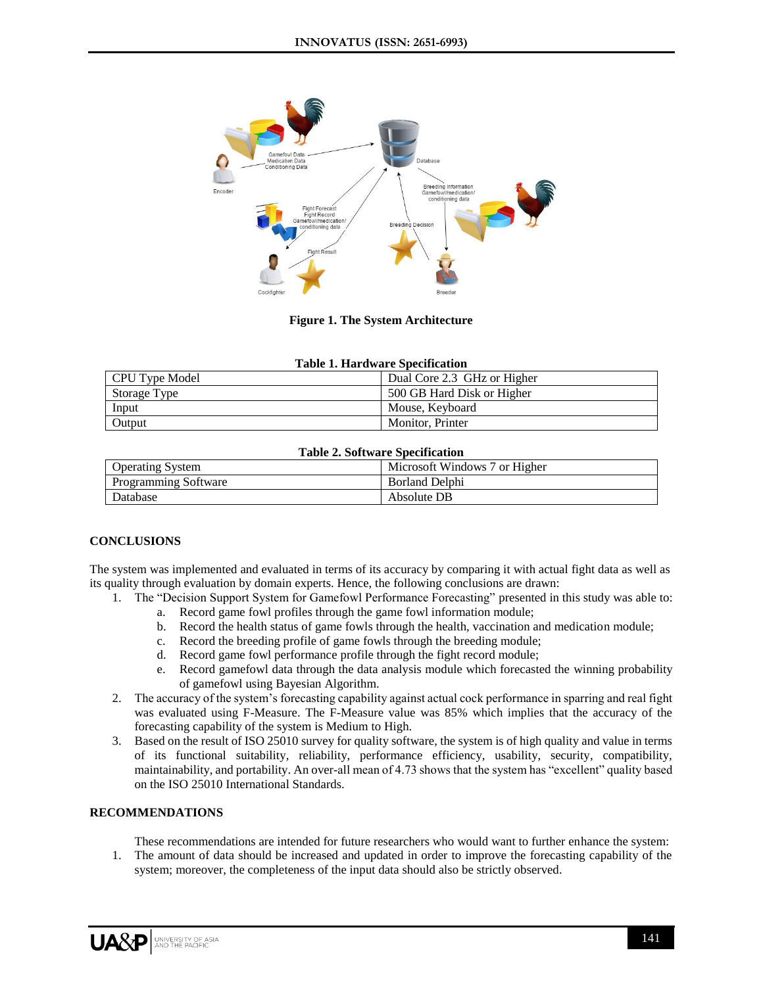

**Figure 1. The System Architecture**

| <b>Table 1. Hardware Specification</b> |                             |
|----------------------------------------|-----------------------------|
| CPU Type Model                         | Dual Core 2.3 GHz or Higher |
| Storage Type                           | 500 GB Hard Disk or Higher  |
| Input                                  | Mouse, Keyboard             |
| Output                                 | Monitor, Printer            |

#### **Table 2. Software Specification**

| <b>Operating System</b>     | Microsoft Windows 7 or Higher |
|-----------------------------|-------------------------------|
| <b>Programming Software</b> | <b>Borland Delphi</b>         |
| Database                    | Absolute DB                   |

# **CONCLUSIONS**

The system was implemented and evaluated in terms of its accuracy by comparing it with actual fight data as well as its quality through evaluation by domain experts. Hence, the following conclusions are drawn:

- 1. The "Decision Support System for Gamefowl Performance Forecasting" presented in this study was able to:
	- a. Record game fowl profiles through the game fowl information module;
	- b. Record the health status of game fowls through the health, vaccination and medication module;
	- c. Record the breeding profile of game fowls through the breeding module;
	- d. Record game fowl performance profile through the fight record module;
	- e. Record gamefowl data through the data analysis module which forecasted the winning probability of gamefowl using Bayesian Algorithm.
- 2. The accuracy of the system's forecasting capability against actual cock performance in sparring and real fight was evaluated using F-Measure. The F-Measure value was 85% which implies that the accuracy of the forecasting capability of the system is Medium to High.
- 3. Based on the result of ISO 25010 survey for quality software, the system is of high quality and value in terms of its functional suitability, reliability, performance efficiency, usability, security, compatibility, maintainability, and portability. An over-all mean of 4.73 shows that the system has "excellent" quality based on the ISO 25010 International Standards.

# **RECOMMENDATIONS**

These recommendations are intended for future researchers who would want to further enhance the system:

1. The amount of data should be increased and updated in order to improve the forecasting capability of the system; moreover, the completeness of the input data should also be strictly observed.